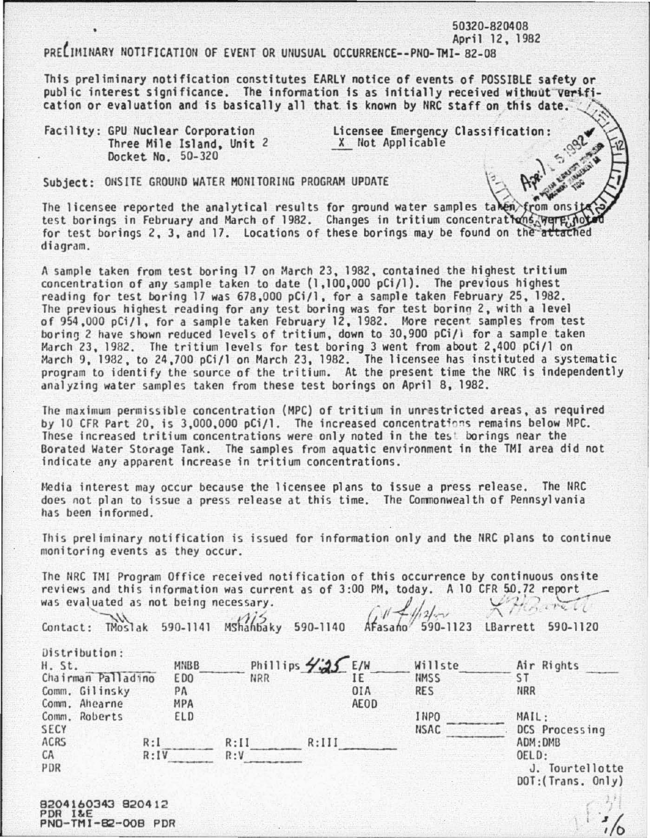PRE IMINARY NOTIFICATION OF EVENT OR UNUSUAL OCCURRENCE--PNO-TMI- 82-08

This preliminary notification constitutes EARLY notice of events of POSSIBLE safety or public interest significance. The information is as initially received without verifi-<br>cation or evaluation and is basically all that is known by NRC staff on this date.

50320-820408 April 12, 1982

 $\omega_{\rm eff}$ 

 $\mathbf{I}$ *t/0* 

Facility: GPU Nuclear Corporation **Licensee Emergency Classification:**<br>Three Mile Island, Unit 2 **...** *X* **Not Applicable** Three Mile Island, Unit 2 Docket No. 50-320

Subject: ONSITE GROUND WATER MONITORING PROGRAM UPDATE

The licensee reported the analytical results for ground water samples taken from ons  $test$  borings in February and March of 1982. Changes in tritium concentrations  $\sqrt{1 + \frac{1}{n}}$ for test borings 2, 3, and 17. Locations of these borings may be found on the attached diagram.

A sample taken from test boring 17 on March 23, 1982, contained the highest tritium concentration of any sample taken to date (1,100,000 pCi/1). The previous highest reading for test boring 17 was 678,000 pCi/1, for a sample taken February 25, 1982. The previous highest reading for any test boring was for test borino 2, with a level of 954,000 pCi/1, for a sample taken February 12, 1982. More recent samples from test boring 2 have shown reduced levels of tritium, down to 30,900 pCi/l for a sample taken March 23, 1982. The tritium levels for test boring 3 went from about 2,400 pCi/l on March 9, 1982, to 24,700 pCi/l on March 23, 1982. The licensee has instituted a systematic program to identify the source of the tritium. At the present time the NRC is independently analyzing water samples taken from these test borings on April 8, 1982.

The maximum permissible concentration (HPC) of tritium in unrestricted areas, as required by 10 CFR Part 20, is 3,000,000 pCi/1. The increased concentrations remains below MPC. These increased tritium concentrations were only noted in the tes! borings near the Borated Water Storage Tank. The samples from aquatic environment in the THI area did not indicate any apparent increase in tritium concentrations.

Hedia interest may occur because the licensee plans to issue a press release. The IIRC does not plan to issue a press release at this time. The Commonwealth of Pennsylvania has been informed.

This preliminary notification is issued for information only and the NRC plans to continue monitoring events as they occur.

The NRC TMI Program Office received notification of this occurrence by continuous onsite reviews and this information was current as of 3:00 PM, today. A 10 CFR 50.72 report was evaluated as not being necessary. was evaluated as not being necessary.

| Contact:                                      |                         |            |                             |             |                        | TMoslak 590-1141 Mshahbaky 590-1140 Afasano 590-1123 LBarrett 590-1120 |
|-----------------------------------------------|-------------------------|------------|-----------------------------|-------------|------------------------|------------------------------------------------------------------------|
| Distribution:<br>H. St.<br>Chairman Palladino | MNBB<br>E <sub>DO</sub> | <b>NRR</b> | Phillips $\frac{1}{25}$ E/W |             | Willste<br><b>NMSS</b> | Air Rights<br>S T                                                      |
| Comm. Gilinsky<br>Comm. Ahearne               | PA<br><b>MPA</b>        |            |                             | 0IA<br>AEOD | <b>RES</b>             | <b>NRR</b>                                                             |
| Comm. Roberts                                 | ELD                     |            |                             |             | <b>INPO</b>            | MAIL:                                                                  |
| <b>SECY</b>                                   |                         |            |                             |             | <b>NSAC</b>            | DCS Processing                                                         |
| ACRS                                          | R:I                     | R:II       | R:III                       |             |                        | ADM: DMB                                                               |
| CA<br>PDR                                     | R:IV                    |            | R:V                         |             |                        | OELD:<br>J. Tourtellotte<br>DOT: (Trans. Only)                         |
|                                               |                         |            |                             |             |                        |                                                                        |

8204160343 820412 PDR I&E PNO- TMI-82-008 POR